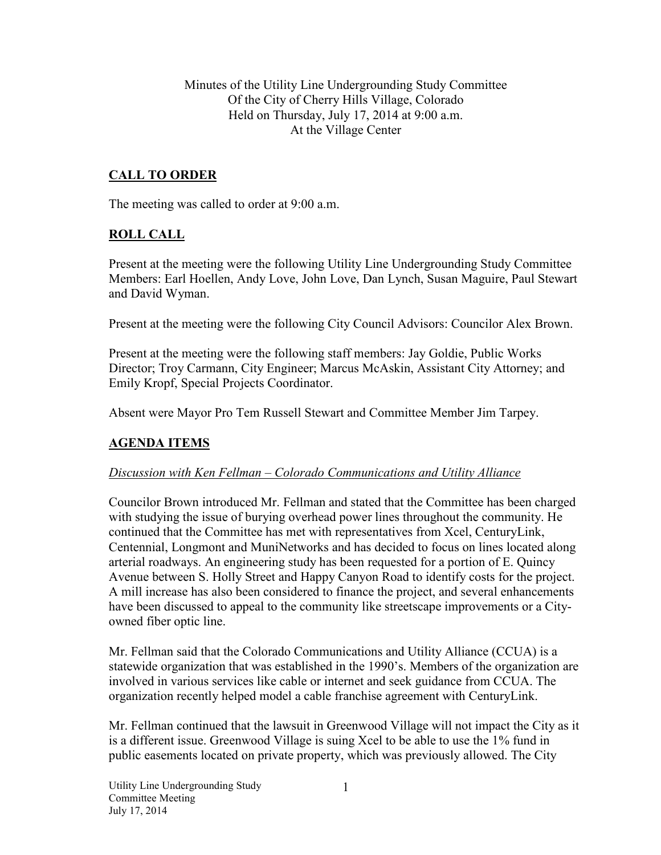Minutes of the Utility Line Undergrounding Study Committee Of the City of Cherry Hills Village, Colorado Held on Thursday, July 17, 2014 at 9:00 a.m. At the Village Center

# **CALL TO ORDER**

The meeting was called to order at 9:00 a.m.

## **ROLL CALL**

Present at the meeting were the following Utility Line Undergrounding Study Committee Members: Earl Hoellen, Andy Love, John Love, Dan Lynch, Susan Maguire, Paul Stewart and David Wyman.

Present at the meeting were the following City Council Advisors: Councilor Alex Brown.

Present at the meeting were the following staff members: Jay Goldie, Public Works Director; Troy Carmann, City Engineer; Marcus McAskin, Assistant City Attorney; and Emily Kropf, Special Projects Coordinator.

Absent were Mayor Pro Tem Russell Stewart and Committee Member Jim Tarpey.

## **AGENDA ITEMS**

### *Discussion with Ken Fellman – Colorado Communications and Utility Alliance*

Councilor Brown introduced Mr. Fellman and stated that the Committee has been charged with studying the issue of burying overhead power lines throughout the community. He continued that the Committee has met with representatives from Xcel, CenturyLink, Centennial, Longmont and MuniNetworks and has decided to focus on lines located along arterial roadways. An engineering study has been requested for a portion of E. Quincy Avenue between S. Holly Street and Happy Canyon Road to identify costs for the project. A mill increase has also been considered to finance the project, and several enhancements have been discussed to appeal to the community like streetscape improvements or a Cityowned fiber optic line.

Mr. Fellman said that the Colorado Communications and Utility Alliance (CCUA) is a statewide organization that was established in the 1990's. Members of the organization are involved in various services like cable or internet and seek guidance from CCUA. The organization recently helped model a cable franchise agreement with CenturyLink.

Mr. Fellman continued that the lawsuit in Greenwood Village will not impact the City as it is a different issue. Greenwood Village is suing Xcel to be able to use the 1% fund in public easements located on private property, which was previously allowed. The City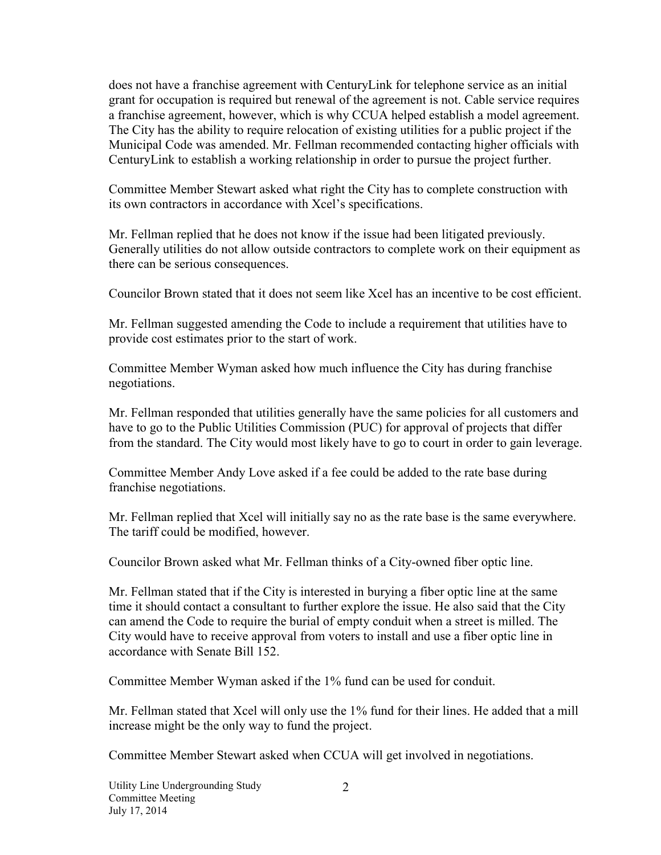does not have a franchise agreement with CenturyLink for telephone service as an initial grant for occupation is required but renewal of the agreement is not. Cable service requires a franchise agreement, however, which is why CCUA helped establish a model agreement. The City has the ability to require relocation of existing utilities for a public project if the Municipal Code was amended. Mr. Fellman recommended contacting higher officials with CenturyLink to establish a working relationship in order to pursue the project further.

Committee Member Stewart asked what right the City has to complete construction with its own contractors in accordance with Xcel's specifications.

Mr. Fellman replied that he does not know if the issue had been litigated previously. Generally utilities do not allow outside contractors to complete work on their equipment as there can be serious consequences.

Councilor Brown stated that it does not seem like Xcel has an incentive to be cost efficient.

Mr. Fellman suggested amending the Code to include a requirement that utilities have to provide cost estimates prior to the start of work.

Committee Member Wyman asked how much influence the City has during franchise negotiations.

Mr. Fellman responded that utilities generally have the same policies for all customers and have to go to the Public Utilities Commission (PUC) for approval of projects that differ from the standard. The City would most likely have to go to court in order to gain leverage.

Committee Member Andy Love asked if a fee could be added to the rate base during franchise negotiations.

Mr. Fellman replied that Xcel will initially say no as the rate base is the same everywhere. The tariff could be modified, however.

Councilor Brown asked what Mr. Fellman thinks of a City-owned fiber optic line.

Mr. Fellman stated that if the City is interested in burying a fiber optic line at the same time it should contact a consultant to further explore the issue. He also said that the City can amend the Code to require the burial of empty conduit when a street is milled. The City would have to receive approval from voters to install and use a fiber optic line in accordance with Senate Bill 152.

Committee Member Wyman asked if the 1% fund can be used for conduit.

Mr. Fellman stated that Xcel will only use the 1% fund for their lines. He added that a mill increase might be the only way to fund the project.

Committee Member Stewart asked when CCUA will get involved in negotiations.